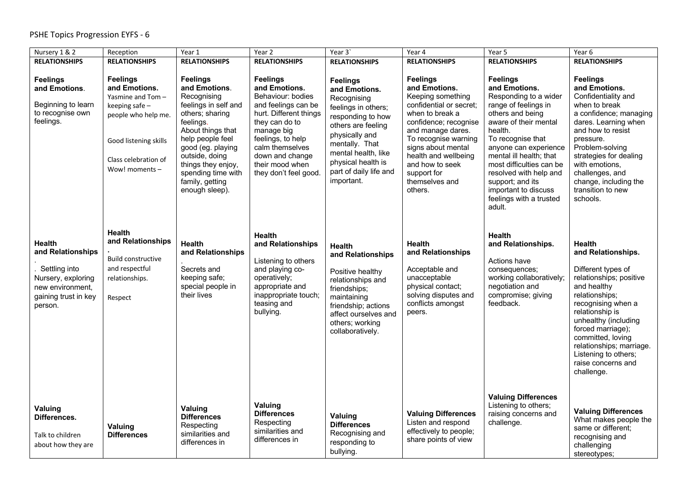| Nursery 1 & 2                                                                                                                    | Reception                                                                                                                                                       | Year 1                                                                                                                                                                                                                                                                   | Year 2                                                                                                                                                                                                                                        | Year 3                                                                                                                                                                                                                                     | Year 4                                                                                                                                                                                                                                                                                 | Year 5                                                                                                                                                                                                                                                                                                                                                    | Year 6                                                                                                                                                                                                                                                                                                                   |
|----------------------------------------------------------------------------------------------------------------------------------|-----------------------------------------------------------------------------------------------------------------------------------------------------------------|--------------------------------------------------------------------------------------------------------------------------------------------------------------------------------------------------------------------------------------------------------------------------|-----------------------------------------------------------------------------------------------------------------------------------------------------------------------------------------------------------------------------------------------|--------------------------------------------------------------------------------------------------------------------------------------------------------------------------------------------------------------------------------------------|----------------------------------------------------------------------------------------------------------------------------------------------------------------------------------------------------------------------------------------------------------------------------------------|-----------------------------------------------------------------------------------------------------------------------------------------------------------------------------------------------------------------------------------------------------------------------------------------------------------------------------------------------------------|--------------------------------------------------------------------------------------------------------------------------------------------------------------------------------------------------------------------------------------------------------------------------------------------------------------------------|
| <b>RELATIONSHIPS</b>                                                                                                             | <b>RELATIONSHIPS</b>                                                                                                                                            | <b>RELATIONSHIPS</b>                                                                                                                                                                                                                                                     | <b>RELATIONSHIPS</b>                                                                                                                                                                                                                          | <b>RELATIONSHIPS</b>                                                                                                                                                                                                                       | <b>RELATIONSHIPS</b>                                                                                                                                                                                                                                                                   | <b>RELATIONSHIPS</b>                                                                                                                                                                                                                                                                                                                                      | <b>RELATIONSHIPS</b>                                                                                                                                                                                                                                                                                                     |
| <b>Feelings</b><br>and Emotions.<br>Beginning to learn<br>to recognise own<br>feelings.                                          | <b>Feelings</b><br>and Emotions.<br>Yasmine and Tom-<br>keeping safe-<br>people who help me.<br>Good listening skills<br>Class celebration of<br>Wow! moments - | <b>Feelings</b><br>and Emotions.<br>Recognising<br>feelings in self and<br>others; sharing<br>feelings.<br>About things that<br>help people feel<br>good (eg. playing<br>outside, doing<br>things they enjoy,<br>spending time with<br>family, getting<br>enough sleep). | <b>Feelings</b><br>and Emotions.<br>Behaviour: bodies<br>and feelings can be<br>hurt. Different things<br>they can do to<br>manage big<br>feelings, to help<br>calm themselves<br>down and change<br>their mood when<br>they don't feel good. | <b>Feelings</b><br>and Emotions.<br>Recognising<br>feelings in others;<br>responding to how<br>others are feeling<br>physically and<br>mentally. That<br>mental health, like<br>physical health is<br>part of daily life and<br>important. | <b>Feelings</b><br>and Emotions.<br>Keeping something<br>confidential or secret;<br>when to break a<br>confidence; recognise<br>and manage dares.<br>To recognise warning<br>signs about mental<br>health and wellbeing<br>and how to seek<br>support for<br>themselves and<br>others. | <b>Feelings</b><br>and Emotions.<br>Responding to a wider<br>range of feelings in<br>others and being<br>aware of their mental<br>health.<br>To recognise that<br>anyone can experience<br>mental ill health; that<br>most difficulties can be<br>resolved with help and<br>support; and its<br>important to discuss<br>feelings with a trusted<br>adult. | <b>Feelings</b><br>and Emotions.<br>Confidentiality and<br>when to break<br>a confidence; managing<br>dares. Learning when<br>and how to resist<br>pressure.<br>Problem-solving<br>strategies for dealing<br>with emotions,<br>challenges, and<br>change, including the<br>transition to new<br>schools.                 |
| <b>Health</b><br>and Relationships<br>Settling into<br>Nursery, exploring<br>new environment,<br>gaining trust in key<br>person. | <b>Health</b><br>and Relationships<br><b>Build constructive</b><br>and respectful<br>relationships.<br>Respect                                                  | <b>Health</b><br>and Relationships<br>Secrets and<br>keeping safe;<br>special people in<br>their lives                                                                                                                                                                   | <b>Health</b><br>and Relationships<br>Listening to others<br>and playing co-<br>operatively;<br>appropriate and<br>inappropriate touch;<br>teasing and<br>bullying.                                                                           | <b>Health</b><br>and Relationships<br>Positive healthy<br>relationships and<br>friendships;<br>maintaining<br>friendship; actions<br>affect ourselves and<br>others; working<br>collaboratively.                                           | Health<br>and Relationships<br>Acceptable and<br>unacceptable<br>physical contact;<br>solving disputes and<br>conflicts amongst<br>peers.                                                                                                                                              | <b>Health</b><br>and Relationships.<br>Actions have<br>consequences;<br>working collaboratively;<br>negotiation and<br>compromise; giving<br>feedback.                                                                                                                                                                                                    | <b>Health</b><br>and Relationships.<br>Different types of<br>relationships; positive<br>and healthy<br>relationships;<br>recognising when a<br>relationship is<br>unhealthy (including<br>forced marriage);<br>committed, loving<br>relationships; marriage.<br>Listening to others;<br>raise concerns and<br>challenge. |
| Valuing<br>Differences.<br>Talk to children<br>about how they are                                                                | <b>Valuing</b><br><b>Differences</b>                                                                                                                            | Valuing<br><b>Differences</b><br>Respecting<br>similarities and<br>differences in                                                                                                                                                                                        | Valuing<br><b>Differences</b><br>Respecting<br>similarities and<br>differences in                                                                                                                                                             | Valuing<br><b>Differences</b><br>Recognising and<br>responding to<br>bullying.                                                                                                                                                             | <b>Valuing Differences</b><br>Listen and respond<br>effectively to people;<br>share points of view                                                                                                                                                                                     | <b>Valuing Differences</b><br>Listening to others;<br>raising concerns and<br>challenge.                                                                                                                                                                                                                                                                  | <b>Valuing Differences</b><br>What makes people the<br>same or different;<br>recognising and<br>challenging<br>stereotypes;                                                                                                                                                                                              |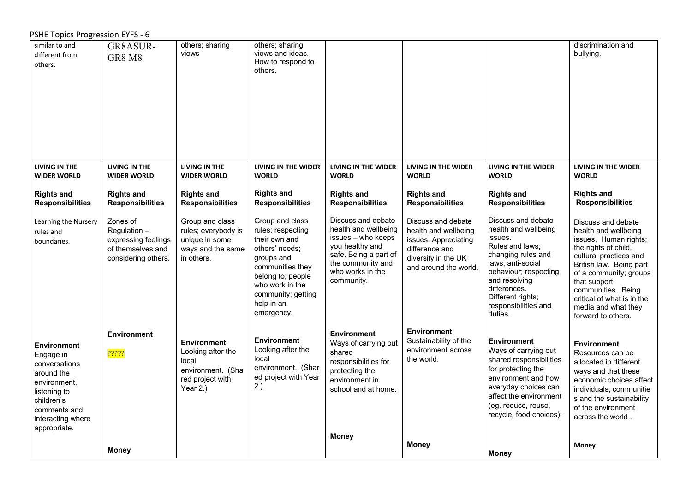## PSHE Topics Progression EYFS - 6

| similar to and<br>different from             | GR8ASUR-                                     | others; sharing<br>views                     | others; sharing<br>views and ideas.          |                                              |                                              |                                                | discrimination and<br>bullying.                     |
|----------------------------------------------|----------------------------------------------|----------------------------------------------|----------------------------------------------|----------------------------------------------|----------------------------------------------|------------------------------------------------|-----------------------------------------------------|
| others.                                      | GR8 M8                                       |                                              | How to respond to                            |                                              |                                              |                                                |                                                     |
|                                              |                                              |                                              | others.                                      |                                              |                                              |                                                |                                                     |
|                                              |                                              |                                              |                                              |                                              |                                              |                                                |                                                     |
|                                              |                                              |                                              |                                              |                                              |                                              |                                                |                                                     |
|                                              |                                              |                                              |                                              |                                              |                                              |                                                |                                                     |
|                                              |                                              |                                              |                                              |                                              |                                              |                                                |                                                     |
|                                              |                                              |                                              |                                              |                                              |                                              |                                                |                                                     |
|                                              |                                              |                                              |                                              |                                              |                                              |                                                |                                                     |
| <b>LIVING IN THE</b><br><b>WIDER WORLD</b>   | <b>LIVING IN THE</b><br><b>WIDER WORLD</b>   | <b>LIVING IN THE</b><br><b>WIDER WORLD</b>   | <b>LIVING IN THE WIDER</b><br><b>WORLD</b>   | <b>LIVING IN THE WIDER</b><br><b>WORLD</b>   | <b>LIVING IN THE WIDER</b><br><b>WORLD</b>   | <b>LIVING IN THE WIDER</b><br><b>WORLD</b>     | <b>LIVING IN THE WIDER</b><br><b>WORLD</b>          |
| <b>Rights and</b><br><b>Responsibilities</b> | <b>Rights and</b><br><b>Responsibilities</b> | <b>Rights and</b><br><b>Responsibilities</b> | <b>Rights and</b><br><b>Responsibilities</b> | <b>Rights and</b><br><b>Responsibilities</b> | <b>Rights and</b><br><b>Responsibilities</b> | <b>Rights and</b><br><b>Responsibilities</b>   | <b>Rights and</b><br><b>Responsibilities</b>        |
|                                              |                                              |                                              |                                              |                                              |                                              |                                                |                                                     |
| Learning the Nursery<br>rules and            | Zones of<br>Regulation -                     | Group and class<br>rules; everybody is       | Group and class<br>rules; respecting         | Discuss and debate<br>health and wellbeing   | Discuss and debate<br>health and wellbeing   | Discuss and debate<br>health and wellbeing     | Discuss and debate<br>health and wellbeing          |
| boundaries.                                  | expressing feelings                          | unique in some                               | their own and                                | issues - who keeps<br>you healthy and        | issues. Appreciating                         | issues.<br>Rules and laws;                     | issues. Human rights;                               |
|                                              | of themselves and<br>considering others.     | ways and the same<br>in others.              | others' needs;<br>groups and                 | safe. Being a part of                        | difference and<br>diversity in the UK        | changing rules and                             | the rights of child,<br>cultural practices and      |
|                                              |                                              |                                              | communities they                             | the community and<br>who works in the        | and around the world.                        | laws; anti-social<br>behaviour; respecting     | British law. Being part<br>of a community; groups   |
|                                              |                                              |                                              | belong to; people<br>who work in the         | community.                                   |                                              | and resolving<br>differences.                  | that support                                        |
|                                              |                                              |                                              | community; getting                           |                                              |                                              | Different rights;                              | communities. Being<br>critical of what is in the    |
|                                              |                                              |                                              | help in an<br>emergency.                     |                                              |                                              | responsibilities and<br>duties.                | media and what they<br>forward to others.           |
|                                              |                                              |                                              |                                              |                                              |                                              |                                                |                                                     |
|                                              | <b>Environment</b>                           | <b>Environment</b>                           | <b>Environment</b>                           | <b>Environment</b><br>Ways of carrying out   | <b>Environment</b><br>Sustainability of the  | <b>Environment</b>                             | <b>Environment</b>                                  |
| <b>Environment</b><br>Engage in              | <mark>??????</mark>                          | Looking after the                            | Looking after the                            | shared                                       | environment across                           | Ways of carrying out                           | Resources can be                                    |
| conversations                                |                                              | local<br>environment. (Sha                   | local<br>environment. (Shar                  | responsibilities for<br>protecting the       | the world.                                   | shared responsibilities<br>for protecting the  | allocated in different<br>ways and that these       |
| around the<br>environment,                   |                                              | red project with                             | ed project with Year                         | environment in                               |                                              | environment and how                            | economic choices affect                             |
| listening to                                 |                                              | Year 2.)                                     | 2.)                                          | school and at home.                          |                                              | everyday choices can<br>affect the environment | individuals, communitie<br>s and the sustainability |
| children's<br>comments and                   |                                              |                                              |                                              |                                              |                                              | (eg. reduce, reuse,                            | of the environment                                  |
| interacting where                            |                                              |                                              |                                              |                                              |                                              | recycle, food choices).                        | across the world.                                   |
| appropriate.                                 |                                              |                                              |                                              | <b>Money</b>                                 |                                              |                                                |                                                     |
|                                              | <b>Money</b>                                 |                                              |                                              |                                              | <b>Money</b>                                 | <b>Money</b>                                   | Money                                               |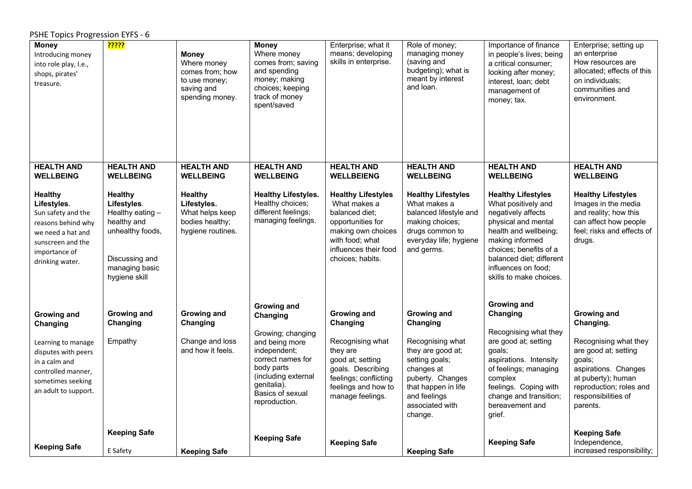PSHE Topics Progression EYFS - 6

| <b>Money</b><br>Introducing money<br>into role play, I.e.,<br>shops, pirates'<br>treasure.                                                              | <mark>?????</mark>                                                                                                                        | <b>Money</b><br>Where money<br>comes from; how<br>to use money;<br>saving and<br>spending money. | <b>Money</b><br>Where money<br>comes from; saving<br>and spending<br>money; making<br>choices; keeping<br>track of money<br>spent/saved                           | Enterprise; what it<br>means; developing<br>skills in enterprise.                                                                                                      | Role of money;<br>managing money<br>(saving and<br>budgeting); what is<br>meant by interest<br>and loan.                                                                   | Importance of finance<br>in people's lives; being<br>a critical consumer;<br>looking after money;<br>interest, loan; debt<br>management of<br>money; tax.                                                                                         | Enterprise; setting up<br>an enterprise<br>How resources are<br>allocated; effects of this<br>on individuals;<br>communities and<br>environment.                                 |
|---------------------------------------------------------------------------------------------------------------------------------------------------------|-------------------------------------------------------------------------------------------------------------------------------------------|--------------------------------------------------------------------------------------------------|-------------------------------------------------------------------------------------------------------------------------------------------------------------------|------------------------------------------------------------------------------------------------------------------------------------------------------------------------|----------------------------------------------------------------------------------------------------------------------------------------------------------------------------|---------------------------------------------------------------------------------------------------------------------------------------------------------------------------------------------------------------------------------------------------|----------------------------------------------------------------------------------------------------------------------------------------------------------------------------------|
| <b>HEALTH AND</b><br><b>WELLBEING</b>                                                                                                                   | <b>HEALTH AND</b><br><b>WELLBEING</b>                                                                                                     | <b>HEALTH AND</b><br><b>WELLBEING</b>                                                            | <b>HEALTH AND</b><br><b>WELLBEING</b>                                                                                                                             | <b>HEALTH AND</b><br><b>WELLBEIENG</b>                                                                                                                                 | <b>HEALTH AND</b><br><b>WELLBEING</b>                                                                                                                                      | <b>HEALTH AND</b><br><b>WELLBEING</b>                                                                                                                                                                                                             | <b>HEALTH AND</b><br><b>WELLBEING</b>                                                                                                                                            |
| <b>Healthy</b><br>Lifestyles.<br>Sun safety and the<br>reasons behind why<br>we need a hat and<br>sunscreen and the<br>importance of<br>drinking water. | <b>Healthy</b><br>Lifestyles.<br>Healthy eating -<br>healthy and<br>unhealthy foods,<br>Discussing and<br>managing basic<br>hygiene skill | <b>Healthy</b><br>Lifestyles.<br>What helps keep<br>bodies healthy;<br>hygiene routines.         | <b>Healthy Lifestyles.</b><br>Healthy choices;<br>different feelings;<br>managing feelings.                                                                       | <b>Healthy Lifestyles</b><br>What makes a<br>balanced diet:<br>opportunities for<br>making own choices<br>with food; what<br>influences their food<br>choices; habits. | <b>Healthy Lifestyles</b><br>What makes a<br>balanced lifestyle and<br>making choices;<br>drugs common to<br>everyday life; hygiene<br>and germs.                          | <b>Healthy Lifestyles</b><br>What positively and<br>negatively affects<br>physical and mental<br>health and wellbeing;<br>making informed<br>choices; benefits of a<br>balanced diet; different<br>influences on food;<br>skills to make choices. | <b>Healthy Lifestyles</b><br>Images in the media<br>and reality; how this<br>can affect how people<br>feel; risks and effects of<br>drugs.                                       |
| Growing and                                                                                                                                             | <b>Growing and</b>                                                                                                                        | <b>Growing and</b>                                                                               | Growing and<br>Changing                                                                                                                                           | <b>Growing and</b>                                                                                                                                                     | Growing and                                                                                                                                                                | <b>Growing and</b><br>Changing                                                                                                                                                                                                                    | <b>Growing and</b>                                                                                                                                                               |
| Changing<br>Learning to manage<br>disputes with peers<br>in a calm and<br>controlled manner,<br>sometimes seeking<br>an adult to support.               | Changing<br>Empathy                                                                                                                       | Changing<br>Change and loss<br>and how it feels.                                                 | Growing; changing<br>and being more<br>independent;<br>correct names for<br>body parts<br>(including external<br>genitalia).<br>Basics of sexual<br>reproduction. | Changing<br>Recognising what<br>they are<br>good at; setting<br>goals. Describing<br>feelings; conflicting<br>feelings and how to<br>manage feelings.                  | Changing<br>Recognising what<br>they are good at;<br>setting goals;<br>changes at<br>puberty. Changes<br>that happen in life<br>and feelings<br>associated with<br>change. | Recognising what they<br>are good at; setting<br>goals;<br>aspirations. Intensity<br>of feelings; managing<br>complex<br>feelings. Coping with<br>change and transition;<br>bereavement and<br>grief.                                             | Changing.<br>Recognising what they<br>are good at; setting<br>goals;<br>aspirations. Changes<br>at puberty); human<br>reproduction; roles and<br>responsibilities of<br>parents. |
|                                                                                                                                                         | <b>Keeping Safe</b>                                                                                                                       |                                                                                                  | <b>Keeping Safe</b>                                                                                                                                               | <b>Keeping Safe</b>                                                                                                                                                    |                                                                                                                                                                            | <b>Keeping Safe</b>                                                                                                                                                                                                                               | <b>Keeping Safe</b><br>Independence,                                                                                                                                             |
| <b>Keeping Safe</b>                                                                                                                                     | E Safety                                                                                                                                  | <b>Keeping Safe</b>                                                                              |                                                                                                                                                                   |                                                                                                                                                                        | <b>Keeping Safe</b>                                                                                                                                                        |                                                                                                                                                                                                                                                   | increased responsibility;                                                                                                                                                        |